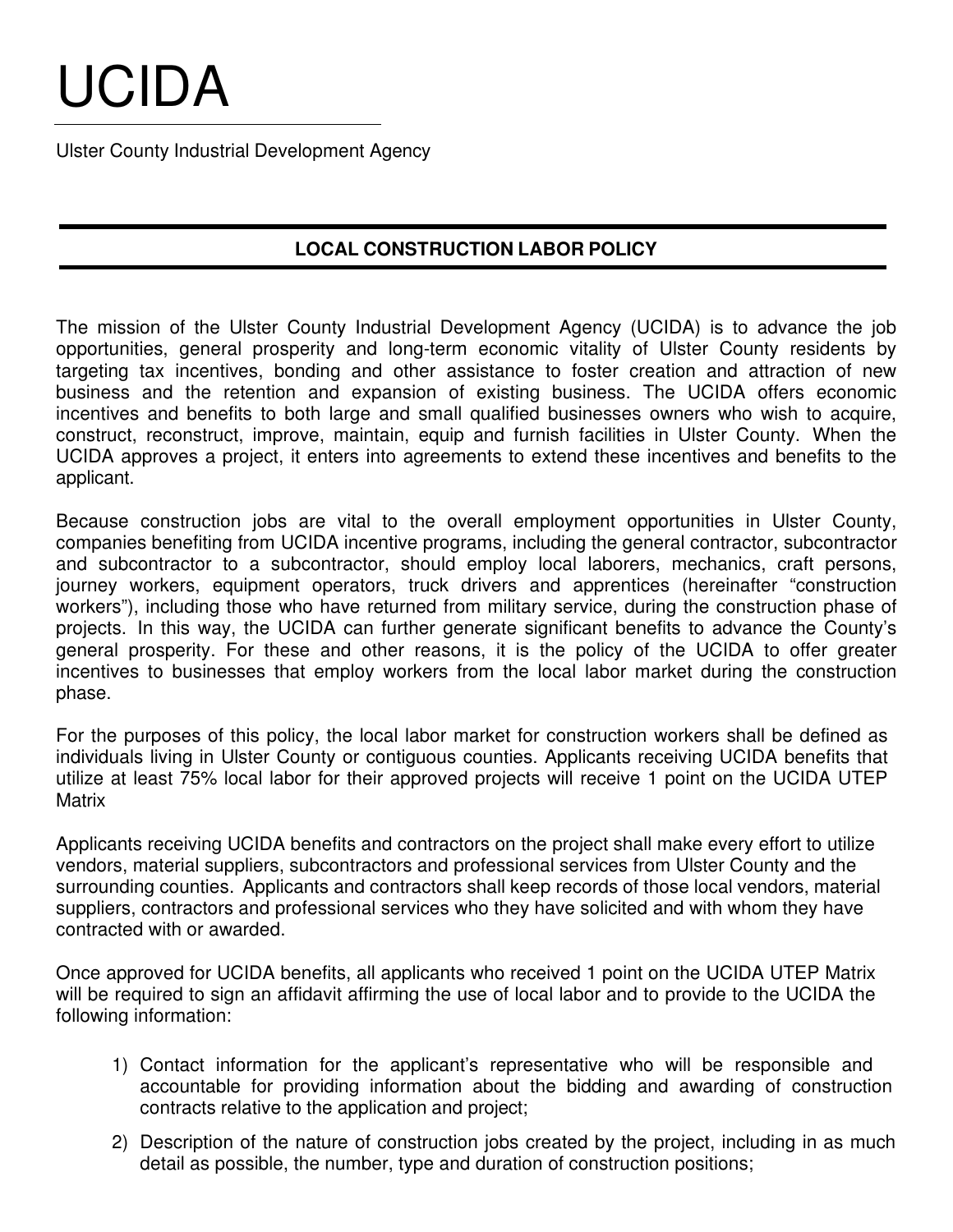## UCIDA

Ulster County Industrial Development Agency

## **LOCAL CONSTRUCTION LABOR POLICY**

The mission of the Ulster County Industrial Development Agency (UCIDA) is to advance the job opportunities, general prosperity and long-term economic vitality of Ulster County residents by targeting tax incentives, bonding and other assistance to foster creation and attraction of new business and the retention and expansion of existing business. The UCIDA offers economic incentives and benefits to both large and small qualified businesses owners who wish to acquire, construct, reconstruct, improve, maintain, equip and furnish facilities in Ulster County. When the UCIDA approves a project, it enters into agreements to extend these incentives and benefits to the applicant.

Because construction jobs are vital to the overall employment opportunities in Ulster County, companies benefiting from UCIDA incentive programs, including the general contractor, subcontractor and subcontractor to a subcontractor, should employ local laborers, mechanics, craft persons, journey workers, equipment operators, truck drivers and apprentices (hereinafter "construction workers"), including those who have returned from military service, during the construction phase of projects. In this way, the UCIDA can further generate significant benefits to advance the County's general prosperity. For these and other reasons, it is the policy of the UCIDA to offer greater incentives to businesses that employ workers from the local labor market during the construction phase.

For the purposes of this policy, the local labor market for construction workers shall be defined as individuals living in Ulster County or contiguous counties. Applicants receiving UCIDA benefits that utilize at least 75% local labor for their approved projects will receive 1 point on the UCIDA UTEP **Matrix** 

Applicants receiving UCIDA benefits and contractors on the project shall make every effort to utilize vendors, material suppliers, subcontractors and professional services from Ulster County and the surrounding counties. Applicants and contractors shall keep records of those local vendors, material suppliers, contractors and professional services who they have solicited and with whom they have contracted with or awarded.

Once approved for UCIDA benefits, all applicants who received 1 point on the UCIDA UTEP Matrix will be required to sign an affidavit affirming the use of local labor and to provide to the UCIDA the following information:

- 1) Contact information for the applicant's representative who will be responsible and accountable for providing information about the bidding and awarding of construction contracts relative to the application and project;
- 2) Description of the nature of construction jobs created by the project, including in as much detail as possible, the number, type and duration of construction positions;